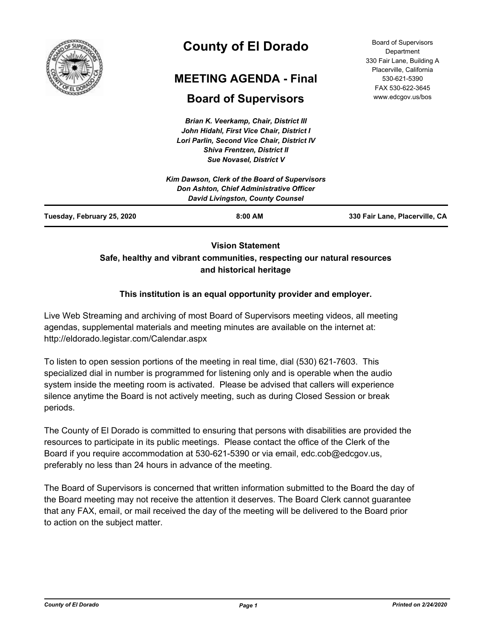

# **County of El Dorado**

# **MEETING AGENDA - Final**

# **Board of Supervisors**

*Brian K. Veerkamp, Chair, District III John Hidahl, First Vice Chair, District I Lori Parlin, Second Vice Chair, District IV Shiva Frentzen, District II Sue Novasel, District V*

Board of Supervisors **Department** 330 Fair Lane, Building A Placerville, California 530-621-5390 FAX 530-622-3645 www.edcgov.us/bos

| $8:00$ AM                                     | 330 Fair Lane, Placerville, CA           |
|-----------------------------------------------|------------------------------------------|
| <b>David Livingston, County Counsel</b>       |                                          |
| Kim Dawson, Clerk of the Board of Supervisors |                                          |
|                                               | Don Ashton, Chief Administrative Officer |

# **Vision Statement Safe, healthy and vibrant communities, respecting our natural resources and historical heritage**

# **This institution is an equal opportunity provider and employer.**

Live Web Streaming and archiving of most Board of Supervisors meeting videos, all meeting agendas, supplemental materials and meeting minutes are available on the internet at: http://eldorado.legistar.com/Calendar.aspx

To listen to open session portions of the meeting in real time, dial (530) 621-7603. This specialized dial in number is programmed for listening only and is operable when the audio system inside the meeting room is activated. Please be advised that callers will experience silence anytime the Board is not actively meeting, such as during Closed Session or break periods.

The County of El Dorado is committed to ensuring that persons with disabilities are provided the resources to participate in its public meetings. Please contact the office of the Clerk of the Board if you require accommodation at 530-621-5390 or via email, edc.cob@edcgov.us, preferably no less than 24 hours in advance of the meeting.

The Board of Supervisors is concerned that written information submitted to the Board the day of the Board meeting may not receive the attention it deserves. The Board Clerk cannot guarantee that any FAX, email, or mail received the day of the meeting will be delivered to the Board prior to action on the subject matter.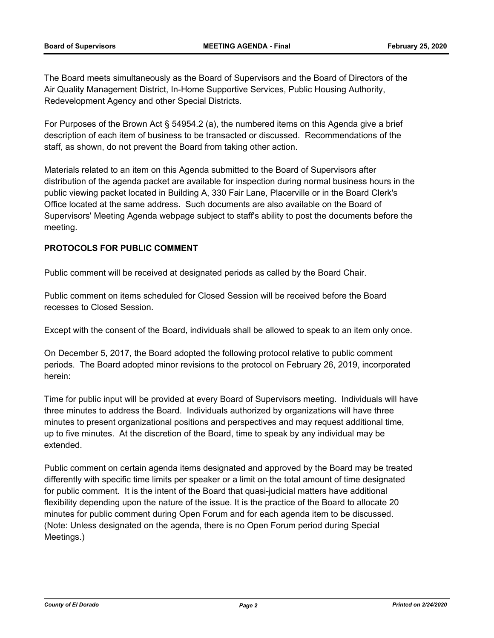The Board meets simultaneously as the Board of Supervisors and the Board of Directors of the Air Quality Management District, In-Home Supportive Services, Public Housing Authority, Redevelopment Agency and other Special Districts.

For Purposes of the Brown Act § 54954.2 (a), the numbered items on this Agenda give a brief description of each item of business to be transacted or discussed. Recommendations of the staff, as shown, do not prevent the Board from taking other action.

Materials related to an item on this Agenda submitted to the Board of Supervisors after distribution of the agenda packet are available for inspection during normal business hours in the public viewing packet located in Building A, 330 Fair Lane, Placerville or in the Board Clerk's Office located at the same address. Such documents are also available on the Board of Supervisors' Meeting Agenda webpage subject to staff's ability to post the documents before the meeting.

# **PROTOCOLS FOR PUBLIC COMMENT**

Public comment will be received at designated periods as called by the Board Chair.

Public comment on items scheduled for Closed Session will be received before the Board recesses to Closed Session.

Except with the consent of the Board, individuals shall be allowed to speak to an item only once.

On December 5, 2017, the Board adopted the following protocol relative to public comment periods. The Board adopted minor revisions to the protocol on February 26, 2019, incorporated herein:

Time for public input will be provided at every Board of Supervisors meeting. Individuals will have three minutes to address the Board. Individuals authorized by organizations will have three minutes to present organizational positions and perspectives and may request additional time, up to five minutes. At the discretion of the Board, time to speak by any individual may be extended.

Public comment on certain agenda items designated and approved by the Board may be treated differently with specific time limits per speaker or a limit on the total amount of time designated for public comment. It is the intent of the Board that quasi-judicial matters have additional flexibility depending upon the nature of the issue. It is the practice of the Board to allocate 20 minutes for public comment during Open Forum and for each agenda item to be discussed. (Note: Unless designated on the agenda, there is no Open Forum period during Special Meetings.)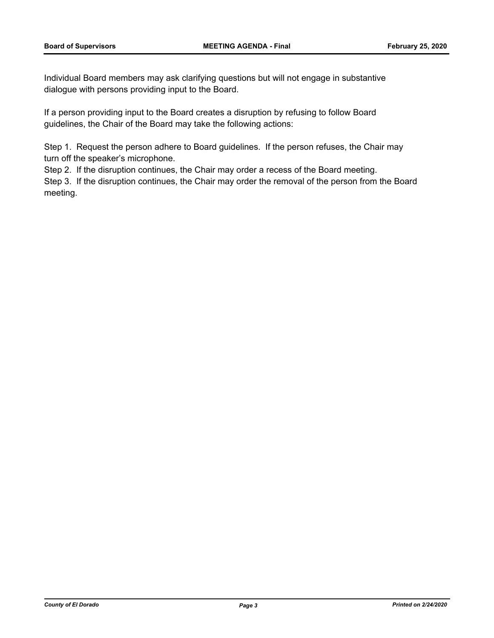Individual Board members may ask clarifying questions but will not engage in substantive dialogue with persons providing input to the Board.

If a person providing input to the Board creates a disruption by refusing to follow Board guidelines, the Chair of the Board may take the following actions:

Step 1. Request the person adhere to Board guidelines. If the person refuses, the Chair may turn off the speaker's microphone.

Step 2. If the disruption continues, the Chair may order a recess of the Board meeting.

Step 3. If the disruption continues, the Chair may order the removal of the person from the Board meeting.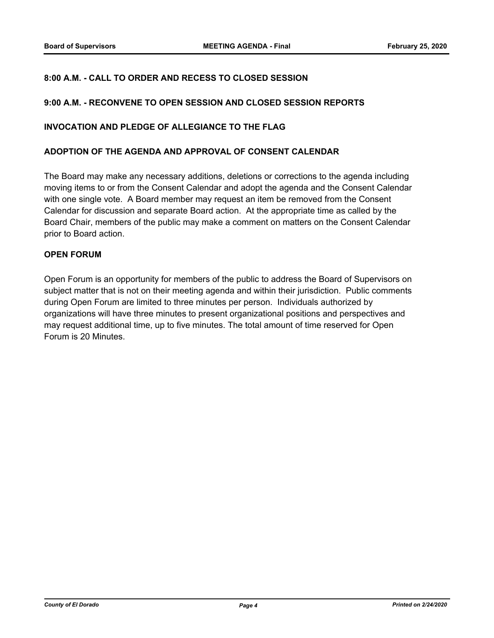## **8:00 A.M. - CALL TO ORDER AND RECESS TO CLOSED SESSION**

#### **9:00 A.M. - RECONVENE TO OPEN SESSION AND CLOSED SESSION REPORTS**

#### **INVOCATION AND PLEDGE OF ALLEGIANCE TO THE FLAG**

#### **ADOPTION OF THE AGENDA AND APPROVAL OF CONSENT CALENDAR**

The Board may make any necessary additions, deletions or corrections to the agenda including moving items to or from the Consent Calendar and adopt the agenda and the Consent Calendar with one single vote. A Board member may request an item be removed from the Consent Calendar for discussion and separate Board action. At the appropriate time as called by the Board Chair, members of the public may make a comment on matters on the Consent Calendar prior to Board action.

#### **OPEN FORUM**

Open Forum is an opportunity for members of the public to address the Board of Supervisors on subject matter that is not on their meeting agenda and within their jurisdiction. Public comments during Open Forum are limited to three minutes per person. Individuals authorized by organizations will have three minutes to present organizational positions and perspectives and may request additional time, up to five minutes. The total amount of time reserved for Open Forum is 20 Minutes.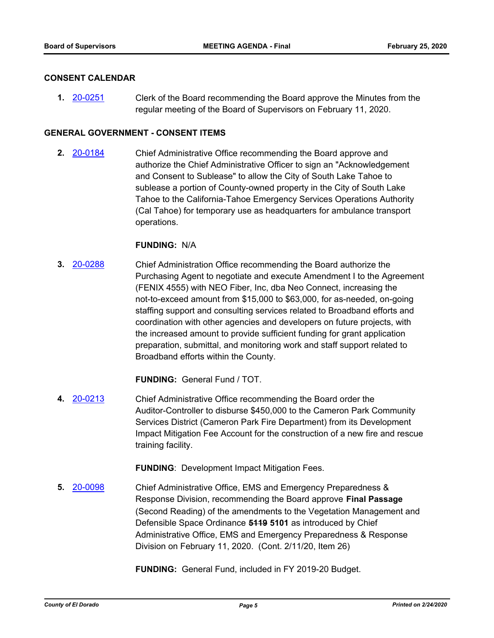#### **CONSENT CALENDAR**

**1.** [20-0251](http://eldorado.legistar.com/gateway.aspx?m=l&id=/matter.aspx?key=27456) Clerk of the Board recommending the Board approve the Minutes from the regular meeting of the Board of Supervisors on February 11, 2020.

### **GENERAL GOVERNMENT - CONSENT ITEMS**

**2.** [20-0184](http://eldorado.legistar.com/gateway.aspx?m=l&id=/matter.aspx?key=27389) Chief Administrative Office recommending the Board approve and authorize the Chief Administrative Officer to sign an "Acknowledgement and Consent to Sublease" to allow the City of South Lake Tahoe to sublease a portion of County-owned property in the City of South Lake Tahoe to the California-Tahoe Emergency Services Operations Authority (Cal Tahoe) for temporary use as headquarters for ambulance transport operations.

#### **FUNDING:** N/A

**3.** [20-0288](http://eldorado.legistar.com/gateway.aspx?m=l&id=/matter.aspx?key=27493) Chief Administration Office recommending the Board authorize the Purchasing Agent to negotiate and execute Amendment I to the Agreement (FENIX 4555) with NEO Fiber, Inc, dba Neo Connect, increasing the not-to-exceed amount from \$15,000 to \$63,000, for as-needed, on-going staffing support and consulting services related to Broadband efforts and coordination with other agencies and developers on future projects, with the increased amount to provide sufficient funding for grant application preparation, submittal, and monitoring work and staff support related to Broadband efforts within the County.

**FUNDING:** General Fund / TOT.

**4.** [20-0213](http://eldorado.legistar.com/gateway.aspx?m=l&id=/matter.aspx?key=27418) Chief Administrative Office recommending the Board order the Auditor-Controller to disburse \$450,000 to the Cameron Park Community Services District (Cameron Park Fire Department) from its Development Impact Mitigation Fee Account for the construction of a new fire and rescue training facility.

**FUNDING**: Development Impact Mitigation Fees.

**5.** [20-0098](http://eldorado.legistar.com/gateway.aspx?m=l&id=/matter.aspx?key=27303) Chief Administrative Office, EMS and Emergency Preparedness & Response Division, recommending the Board approve **Final Passage**  (Second Reading) of the amendments to the Vegetation Management and Defensible Space Ordinance **5119 5101** as introduced by Chief Administrative Office, EMS and Emergency Preparedness & Response Division on February 11, 2020. (Cont. 2/11/20, Item 26)

**FUNDING:** General Fund, included in FY 2019-20 Budget.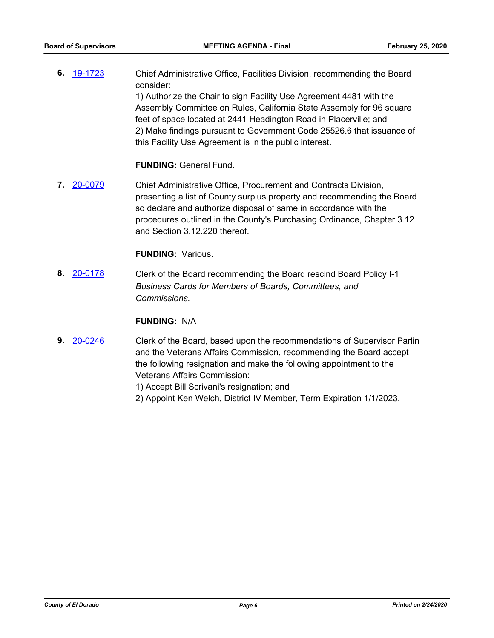**6.** [19-1723](http://eldorado.legistar.com/gateway.aspx?m=l&id=/matter.aspx?key=27047) Chief Administrative Office, Facilities Division, recommending the Board consider: 1) Authorize the Chair to sign Facility Use Agreement 4481 with the Assembly Committee on Rules, California State Assembly for 96 square feet of space located at 2441 Headington Road in Placerville; and 2) Make findings pursuant to Government Code 25526.6 that issuance of this Facility Use Agreement is in the public interest.

#### **FUNDING:** General Fund.

**7.** [20-0079](http://eldorado.legistar.com/gateway.aspx?m=l&id=/matter.aspx?key=27284) Chief Administrative Office, Procurement and Contracts Division, presenting a list of County surplus property and recommending the Board so declare and authorize disposal of same in accordance with the procedures outlined in the County's Purchasing Ordinance, Chapter 3.12 and Section 3.12.220 thereof.

#### **FUNDING:** Various.

**8.** [20-0178](http://eldorado.legistar.com/gateway.aspx?m=l&id=/matter.aspx?key=27383) Clerk of the Board recommending the Board rescind Board Policy I-1 *Business Cards for Members of Boards, Committees, and Commissions.*

#### **FUNDING:** N/A

- **9.** [20-0246](http://eldorado.legistar.com/gateway.aspx?m=l&id=/matter.aspx?key=27451) Clerk of the Board, based upon the recommendations of Supervisor Parlin and the Veterans Affairs Commission, recommending the Board accept the following resignation and make the following appointment to the Veterans Affairs Commission:
	- 1) Accept Bill Scrivani's resignation; and
	- 2) Appoint Ken Welch, District IV Member, Term Expiration 1/1/2023.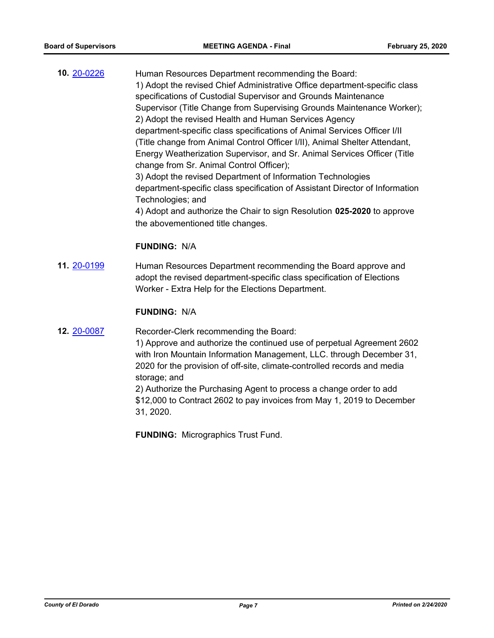**10.** [20-0226](http://eldorado.legistar.com/gateway.aspx?m=l&id=/matter.aspx?key=27431) Human Resources Department recommending the Board: 1) Adopt the revised Chief Administrative Office department-specific class specifications of Custodial Supervisor and Grounds Maintenance Supervisor (Title Change from Supervising Grounds Maintenance Worker); 2) Adopt the revised Health and Human Services Agency department-specific class specifications of Animal Services Officer I/II (Title change from Animal Control Officer I/II), Animal Shelter Attendant, Energy Weatherization Supervisor, and Sr. Animal Services Officer (Title change from Sr. Animal Control Officer); 3) Adopt the revised Department of Information Technologies department-specific class specification of Assistant Director of Information Technologies; and 4) Adopt and authorize the Chair to sign Resolution **025-2020** to approve the abovementioned title changes.

#### **FUNDING:** N/A

**11.** [20-0199](http://eldorado.legistar.com/gateway.aspx?m=l&id=/matter.aspx?key=27404) Human Resources Department recommending the Board approve and adopt the revised department-specific class specification of Elections Worker - Extra Help for the Elections Department.

#### **FUNDING:** N/A

**12.** [20-0087](http://eldorado.legistar.com/gateway.aspx?m=l&id=/matter.aspx?key=27292) Recorder-Clerk recommending the Board:

1) Approve and authorize the continued use of perpetual Agreement 2602 with Iron Mountain Information Management, LLC. through December 31, 2020 for the provision of off-site, climate-controlled records and media storage; and

2) Authorize the Purchasing Agent to process a change order to add \$12,000 to Contract 2602 to pay invoices from May 1, 2019 to December 31, 2020.

**FUNDING:** Micrographics Trust Fund.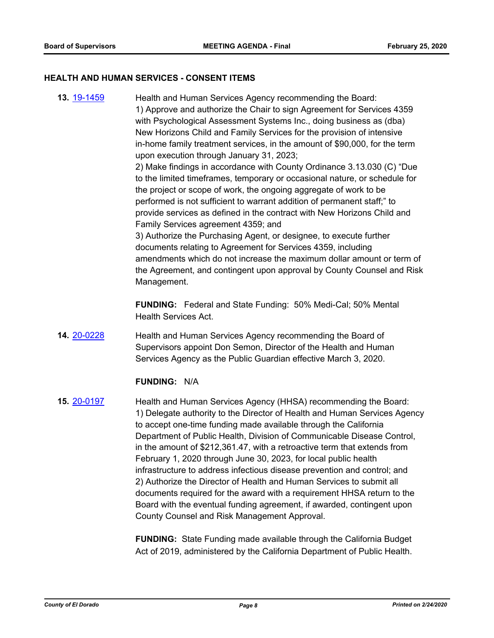#### **HEALTH AND HUMAN SERVICES - CONSENT ITEMS**

**13.** [19-1459](http://eldorado.legistar.com/gateway.aspx?m=l&id=/matter.aspx?key=26780) Health and Human Services Agency recommending the Board: 1) Approve and authorize the Chair to sign Agreement for Services 4359 with Psychological Assessment Systems Inc., doing business as (dba) New Horizons Child and Family Services for the provision of intensive in-home family treatment services, in the amount of \$90,000, for the term upon execution through January 31, 2023; 2) Make findings in accordance with County Ordinance 3.13.030 (C) "Due to the limited timeframes, temporary or occasional nature, or schedule for the project or scope of work, the ongoing aggregate of work to be performed is not sufficient to warrant addition of permanent staff;" to provide services as defined in the contract with New Horizons Child and Family Services agreement 4359; and 3) Authorize the Purchasing Agent, or designee, to execute further documents relating to Agreement for Services 4359, including amendments which do not increase the maximum dollar amount or term of the Agreement, and contingent upon approval by County Counsel and Risk Management.

> **FUNDING:** Federal and State Funding: 50% Medi-Cal; 50% Mental Health Services Act.

**14.** [20-0228](http://eldorado.legistar.com/gateway.aspx?m=l&id=/matter.aspx?key=27433) Health and Human Services Agency recommending the Board of Supervisors appoint Don Semon, Director of the Health and Human Services Agency as the Public Guardian effective March 3, 2020.

#### **FUNDING:** N/A

**15.** [20-0197](http://eldorado.legistar.com/gateway.aspx?m=l&id=/matter.aspx?key=27402) Health and Human Services Agency (HHSA) recommending the Board: 1) Delegate authority to the Director of Health and Human Services Agency to accept one-time funding made available through the California Department of Public Health, Division of Communicable Disease Control, in the amount of \$212,361.47, with a retroactive term that extends from February 1, 2020 through June 30, 2023, for local public health infrastructure to address infectious disease prevention and control; and 2) Authorize the Director of Health and Human Services to submit all documents required for the award with a requirement HHSA return to the Board with the eventual funding agreement, if awarded, contingent upon County Counsel and Risk Management Approval.

> **FUNDING:** State Funding made available through the California Budget Act of 2019, administered by the California Department of Public Health.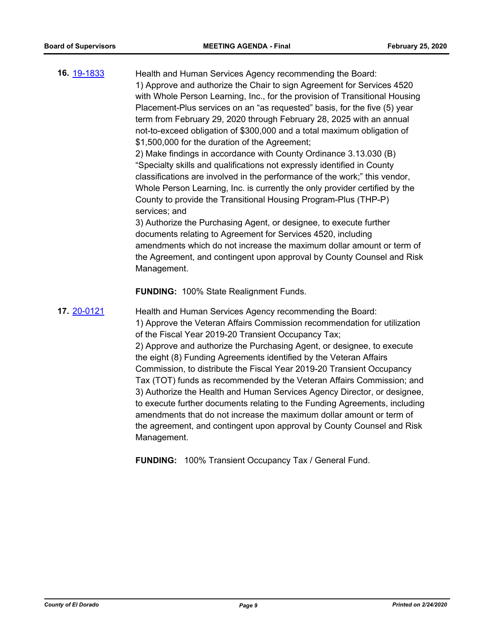| 16. 19-1833 | Health and Human Services Agency recommending the Board:                    |
|-------------|-----------------------------------------------------------------------------|
|             | 1) Approve and authorize the Chair to sign Agreement for Services 4520      |
|             | with Whole Person Learning, Inc., for the provision of Transitional Housing |
|             | Placement-Plus services on an "as requested" basis, for the five (5) year   |
|             | term from February 29, 2020 through February 28, 2025 with an annual        |
|             | not-to-exceed obligation of \$300,000 and a total maximum obligation of     |
|             | \$1,500,000 for the duration of the Agreement;                              |
|             | 2) Make findings in accordance with County Ordinance 3.13.030 (B)           |
|             | "Specialty skills and qualifications not expressly identified in County     |
|             | classifications are involved in the performance of the work;" this vendor,  |
|             | Whole Person Learning, Inc. is currently the only provider certified by the |
|             | County to provide the Transitional Housing Program-Plus (THP-P)             |
|             | services; and                                                               |
|             | 3) Authorize the Purchasing Agent, or designee, to execute further          |
|             | documents relating to Agreement for Services 4520, including                |
|             | amendments which do not increase the maximum dollar amount or term of       |
|             | the Agreement, and contingent upon approval by County Counsel and Risk      |

**FUNDING:** 100% State Realignment Funds.

Management.

**17.** [20-0121](http://eldorado.legistar.com/gateway.aspx?m=l&id=/matter.aspx?key=27326) Health and Human Services Agency recommending the Board: 1) Approve the Veteran Affairs Commission recommendation for utilization of the Fiscal Year 2019-20 Transient Occupancy Tax; 2) Approve and authorize the Purchasing Agent, or designee, to execute the eight (8) Funding Agreements identified by the Veteran Affairs Commission, to distribute the Fiscal Year 2019-20 Transient Occupancy Tax (TOT) funds as recommended by the Veteran Affairs Commission; and 3) Authorize the Health and Human Services Agency Director, or designee, to execute further documents relating to the Funding Agreements, including amendments that do not increase the maximum dollar amount or term of the agreement, and contingent upon approval by County Counsel and Risk Management.

**FUNDING:** 100% Transient Occupancy Tax / General Fund.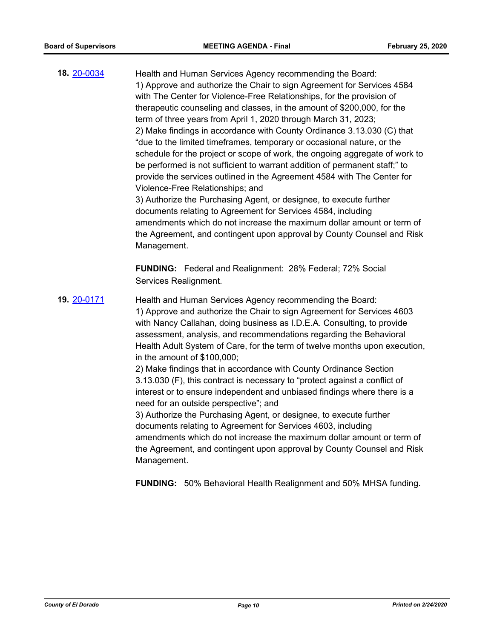**18.** [20-0034](http://eldorado.legistar.com/gateway.aspx?m=l&id=/matter.aspx?key=27238) Health and Human Services Agency recommending the Board: 1) Approve and authorize the Chair to sign Agreement for Services 4584 with The Center for Violence-Free Relationships, for the provision of therapeutic counseling and classes, in the amount of \$200,000, for the term of three years from April 1, 2020 through March 31, 2023; 2) Make findings in accordance with County Ordinance 3.13.030 (C) that "due to the limited timeframes, temporary or occasional nature, or the schedule for the project or scope of work, the ongoing aggregate of work to be performed is not sufficient to warrant addition of permanent staff;" to provide the services outlined in the Agreement 4584 with The Center for Violence-Free Relationships; and 3) Authorize the Purchasing Agent, or designee, to execute further documents relating to Agreement for Services 4584, including amendments which do not increase the maximum dollar amount or term of the Agreement, and contingent upon approval by County Counsel and Risk Management. **FUNDING:** Federal and Realignment: 28% Federal; 72% Social Services Realignment. **19.** [20-0171](http://eldorado.legistar.com/gateway.aspx?m=l&id=/matter.aspx?key=27376) Health and Human Services Agency recommending the Board: 1) Approve and authorize the Chair to sign Agreement for Services 4603 with Nancy Callahan, doing business as I.D.E.A. Consulting, to provide assessment, analysis, and recommendations regarding the Behavioral Health Adult System of Care, for the term of twelve months upon execution, in the amount of \$100,000; 2) Make findings that in accordance with County Ordinance Section 3.13.030 (F), this contract is necessary to "protect against a conflict of interest or to ensure independent and unbiased findings where there is a need for an outside perspective"; and 3) Authorize the Purchasing Agent, or designee, to execute further documents relating to Agreement for Services 4603, including amendments which do not increase the maximum dollar amount or term of the Agreement, and contingent upon approval by County Counsel and Risk Management. **FUNDING:** 50% Behavioral Health Realignment and 50% MHSA funding.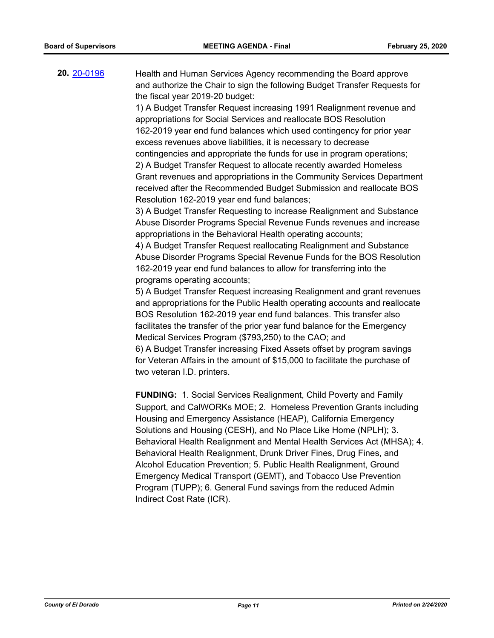**20.** [20-0196](http://eldorado.legistar.com/gateway.aspx?m=l&id=/matter.aspx?key=27401) Health and Human Services Agency recommending the Board approve and authorize the Chair to sign the following Budget Transfer Requests for the fiscal year 2019-20 budget:

> 1) A Budget Transfer Request increasing 1991 Realignment revenue and appropriations for Social Services and reallocate BOS Resolution 162-2019 year end fund balances which used contingency for prior year excess revenues above liabilities, it is necessary to decrease contingencies and appropriate the funds for use in program operations; 2) A Budget Transfer Request to allocate recently awarded Homeless Grant revenues and appropriations in the Community Services Department received after the Recommended Budget Submission and reallocate BOS Resolution 162-2019 year end fund balances;

> 3) A Budget Transfer Requesting to increase Realignment and Substance Abuse Disorder Programs Special Revenue Funds revenues and increase appropriations in the Behavioral Health operating accounts;

> 4) A Budget Transfer Request reallocating Realignment and Substance Abuse Disorder Programs Special Revenue Funds for the BOS Resolution 162-2019 year end fund balances to allow for transferring into the programs operating accounts;

> 5) A Budget Transfer Request increasing Realignment and grant revenues and appropriations for the Public Health operating accounts and reallocate BOS Resolution 162-2019 year end fund balances. This transfer also facilitates the transfer of the prior year fund balance for the Emergency Medical Services Program (\$793,250) to the CAO; and 6) A Budget Transfer increasing Fixed Assets offset by program savings for Veteran Affairs in the amount of \$15,000 to facilitate the purchase of two veteran I.D. printers.

> **FUNDING:** 1. Social Services Realignment, Child Poverty and Family Support, and CalWORKs MOE; 2. Homeless Prevention Grants including Housing and Emergency Assistance (HEAP), California Emergency Solutions and Housing (CESH), and No Place Like Home (NPLH); 3. Behavioral Health Realignment and Mental Health Services Act (MHSA); 4. Behavioral Health Realignment, Drunk Driver Fines, Drug Fines, and Alcohol Education Prevention; 5. Public Health Realignment, Ground Emergency Medical Transport (GEMT), and Tobacco Use Prevention Program (TUPP); 6. General Fund savings from the reduced Admin Indirect Cost Rate (ICR).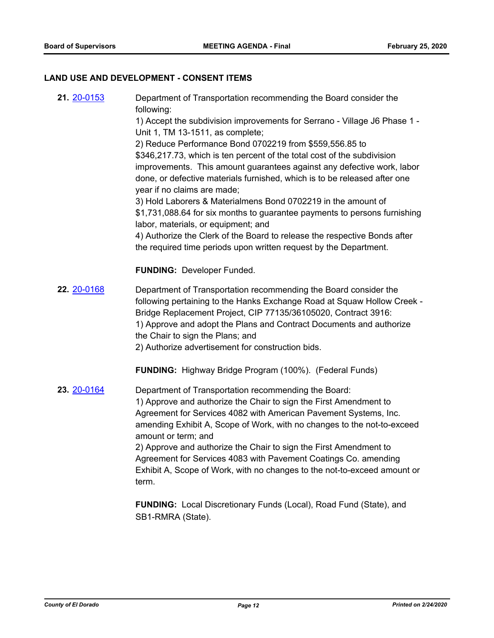# **LAND USE AND DEVELOPMENT - CONSENT ITEMS**

| 21. 20-0153 | Department of Transportation recommending the Board consider the<br>following:                                                                                                                                                                                                                                                                                                                                                          |
|-------------|-----------------------------------------------------------------------------------------------------------------------------------------------------------------------------------------------------------------------------------------------------------------------------------------------------------------------------------------------------------------------------------------------------------------------------------------|
|             | 1) Accept the subdivision improvements for Serrano - Village J6 Phase 1 -<br>Unit 1, TM 13-1511, as complete;                                                                                                                                                                                                                                                                                                                           |
|             | 2) Reduce Performance Bond 0702219 from \$559,556.85 to                                                                                                                                                                                                                                                                                                                                                                                 |
|             | \$346,217.73, which is ten percent of the total cost of the subdivision                                                                                                                                                                                                                                                                                                                                                                 |
|             | improvements. This amount guarantees against any defective work, labor<br>done, or defective materials furnished, which is to be released after one<br>year if no claims are made;                                                                                                                                                                                                                                                      |
|             | 3) Hold Laborers & Materialmens Bond 0702219 in the amount of                                                                                                                                                                                                                                                                                                                                                                           |
|             | \$1,731,088.64 for six months to guarantee payments to persons furnishing<br>labor, materials, or equipment; and                                                                                                                                                                                                                                                                                                                        |
|             | 4) Authorize the Clerk of the Board to release the respective Bonds after<br>the required time periods upon written request by the Department.                                                                                                                                                                                                                                                                                          |
|             | <b>FUNDING: Developer Funded.</b>                                                                                                                                                                                                                                                                                                                                                                                                       |
| 22. 20-0168 | Department of Transportation recommending the Board consider the<br>following pertaining to the Hanks Exchange Road at Squaw Hollow Creek -<br>Bridge Replacement Project, CIP 77135/36105020, Contract 3916:<br>1) Approve and adopt the Plans and Contract Documents and authorize<br>the Chair to sign the Plans; and<br>2) Authorize advertisement for construction bids.                                                           |
|             | <b>FUNDING:</b> Highway Bridge Program (100%). (Federal Funds)                                                                                                                                                                                                                                                                                                                                                                          |
| 23. 20-0164 | Department of Transportation recommending the Board:<br>1) Approve and authorize the Chair to sign the First Amendment to<br>Agreement for Services 4082 with American Pavement Systems, Inc.<br>amending Exhibit A, Scope of Work, with no changes to the not-to-exceed<br>amount or term; and<br>2) Approve and authorize the Chair to sign the First Amendment to<br>Agreement for Services 4083 with Pavement Coatings Co. amending |
|             | Exhibit A, Scope of Work, with no changes to the not-to-exceed amount or<br>term.                                                                                                                                                                                                                                                                                                                                                       |
|             | FUNDING: Local Discretionary Funds (Local), Road Fund (State), and<br>SB1-RMRA (State).                                                                                                                                                                                                                                                                                                                                                 |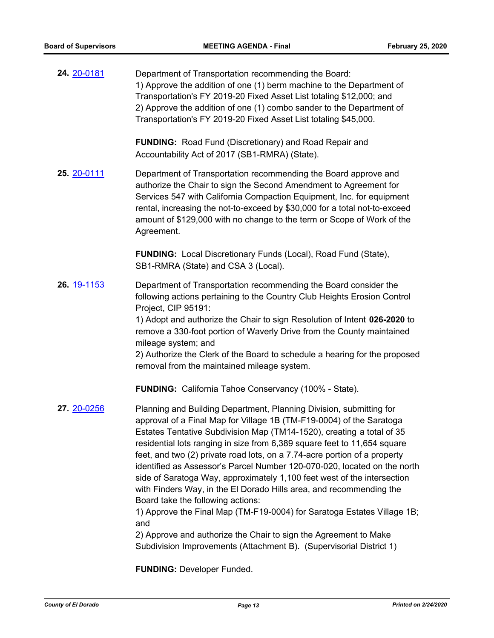**24.** [20-0181](http://eldorado.legistar.com/gateway.aspx?m=l&id=/matter.aspx?key=27386) Department of Transportation recommending the Board: 1) Approve the addition of one (1) berm machine to the Department of Transportation's FY 2019-20 Fixed Asset List totaling \$12,000; and 2) Approve the addition of one (1) combo sander to the Department of Transportation's FY 2019-20 Fixed Asset List totaling \$45,000.

> **FUNDING:** Road Fund (Discretionary) and Road Repair and Accountability Act of 2017 (SB1-RMRA) (State).

**25.** [20-0111](http://eldorado.legistar.com/gateway.aspx?m=l&id=/matter.aspx?key=27316) Department of Transportation recommending the Board approve and authorize the Chair to sign the Second Amendment to Agreement for Services 547 with California Compaction Equipment, Inc. for equipment rental, increasing the not-to-exceed by \$30,000 for a total not-to-exceed amount of \$129,000 with no change to the term or Scope of Work of the Agreement.

> **FUNDING:** Local Discretionary Funds (Local), Road Fund (State), SB1-RMRA (State) and CSA 3 (Local).

**26.** [19-1153](http://eldorado.legistar.com/gateway.aspx?m=l&id=/matter.aspx?key=26475) Department of Transportation recommending the Board consider the following actions pertaining to the Country Club Heights Erosion Control Project, CIP 95191:

> 1) Adopt and authorize the Chair to sign Resolution of Intent **026-2020** to remove a 330-foot portion of Waverly Drive from the County maintained mileage system; and

2) Authorize the Clerk of the Board to schedule a hearing for the proposed removal from the maintained mileage system.

**FUNDING:** California Tahoe Conservancy (100% - State).

**27.** [20-0256](http://eldorado.legistar.com/gateway.aspx?m=l&id=/matter.aspx?key=27461) Planning and Building Department, Planning Division, submitting for approval of a Final Map for Village 1B (TM-F19-0004) of the Saratoga Estates Tentative Subdivision Map (TM14-1520), creating a total of 35 residential lots ranging in size from 6,389 square feet to 11,654 square feet, and two (2) private road lots, on a 7.74-acre portion of a property identified as Assessor's Parcel Number 120-070-020, located on the north side of Saratoga Way, approximately 1,100 feet west of the intersection with Finders Way, in the El Dorado Hills area, and recommending the Board take the following actions:

1) Approve the Final Map (TM-F19-0004) for Saratoga Estates Village 1B; and

2) Approve and authorize the Chair to sign the Agreement to Make Subdivision Improvements (Attachment B). (Supervisorial District 1)

**FUNDING:** Developer Funded.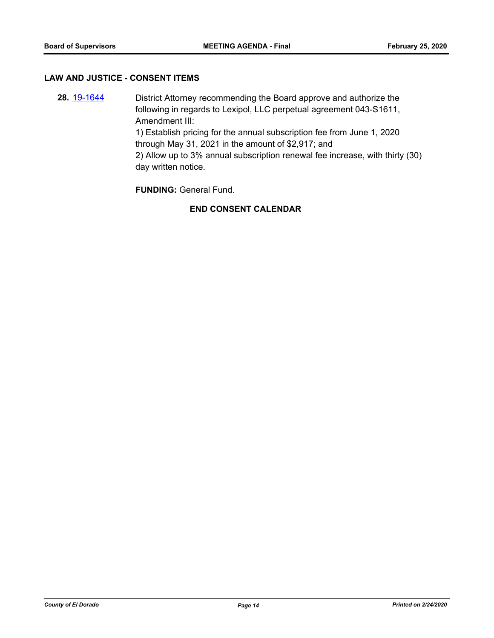#### **LAW AND JUSTICE - CONSENT ITEMS**

**28.** [19-1644](http://eldorado.legistar.com/gateway.aspx?m=l&id=/matter.aspx?key=26968) District Attorney recommending the Board approve and authorize the following in regards to Lexipol, LLC perpetual agreement 043-S1611, Amendment III: 1) Establish pricing for the annual subscription fee from June 1, 2020 through May 31, 2021 in the amount of \$2,917; and 2) Allow up to 3% annual subscription renewal fee increase, with thirty (30) day written notice.

**FUNDING:** General Fund.

# **END CONSENT CALENDAR**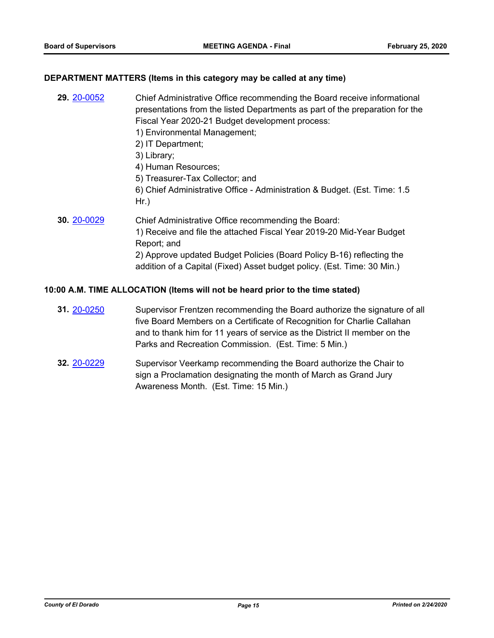#### **DEPARTMENT MATTERS (Items in this category may be called at any time)**

| 29. 20-0052 | Chief Administrative Office recommending the Board receive informational<br>presentations from the listed Departments as part of the preparation for the<br>Fiscal Year 2020-21 Budget development process:<br>1) Environmental Management;<br>2) IT Department;<br>3) Library;<br>4) Human Resources;<br>5) Treasurer-Tax Collector; and<br>6) Chief Administrative Office - Administration & Budget. (Est. Time: 1.5) |
|-------------|-------------------------------------------------------------------------------------------------------------------------------------------------------------------------------------------------------------------------------------------------------------------------------------------------------------------------------------------------------------------------------------------------------------------------|
|             | $Hr.$ )                                                                                                                                                                                                                                                                                                                                                                                                                 |
| 30. 20-0029 | Chief Administrative Office recommending the Board:<br>1) Receive and file the attached Fiscal Year 2019-20 Mid-Year Budget<br>Report; and<br>2) Approve updated Budget Policies (Board Policy B-16) reflecting the<br>addition of a Capital (Fixed) Asset budget policy. (Est. Time: 30 Min.)                                                                                                                          |

#### **10:00 A.M. TIME ALLOCATION (Items will not be heard prior to the time stated)**

- **31.** [20-0250](http://eldorado.legistar.com/gateway.aspx?m=l&id=/matter.aspx?key=27455) Supervisor Frentzen recommending the Board authorize the signature of all five Board Members on a Certificate of Recognition for Charlie Callahan and to thank him for 11 years of service as the District II member on the Parks and Recreation Commission. (Est. Time: 5 Min.)
- **32.** [20-0229](http://eldorado.legistar.com/gateway.aspx?m=l&id=/matter.aspx?key=27434) Supervisor Veerkamp recommending the Board authorize the Chair to sign a Proclamation designating the month of March as Grand Jury Awareness Month. (Est. Time: 15 Min.)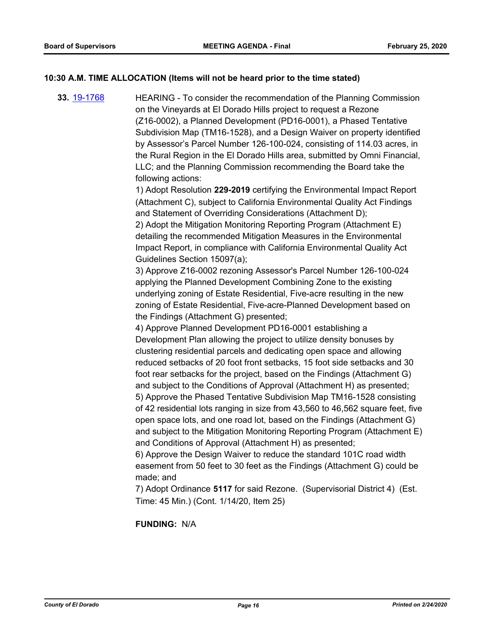## **10:30 A.M. TIME ALLOCATION (Items will not be heard prior to the time stated)**

**33.** [19-1768](http://eldorado.legistar.com/gateway.aspx?m=l&id=/matter.aspx?key=27092) HEARING - To consider the recommendation of the Planning Commission on the Vineyards at El Dorado Hills project to request a Rezone (Z16-0002), a Planned Development (PD16-0001), a Phased Tentative Subdivision Map (TM16-1528), and a Design Waiver on property identified by Assessor's Parcel Number 126-100-024, consisting of 114.03 acres, in the Rural Region in the El Dorado Hills area, submitted by Omni Financial, LLC; and the Planning Commission recommending the Board take the following actions:

> 1) Adopt Resolution **229-2019** certifying the Environmental Impact Report (Attachment C), subject to California Environmental Quality Act Findings and Statement of Overriding Considerations (Attachment D);

2) Adopt the Mitigation Monitoring Reporting Program (Attachment E) detailing the recommended Mitigation Measures in the Environmental Impact Report, in compliance with California Environmental Quality Act Guidelines Section 15097(a);

3) Approve Z16-0002 rezoning Assessor's Parcel Number 126-100-024 applying the Planned Development Combining Zone to the existing underlying zoning of Estate Residential, Five-acre resulting in the new zoning of Estate Residential, Five-acre-Planned Development based on the Findings (Attachment G) presented;

4) Approve Planned Development PD16-0001 establishing a Development Plan allowing the project to utilize density bonuses by clustering residential parcels and dedicating open space and allowing reduced setbacks of 20 foot front setbacks, 15 foot side setbacks and 30 foot rear setbacks for the project, based on the Findings (Attachment G) and subject to the Conditions of Approval (Attachment H) as presented; 5) Approve the Phased Tentative Subdivision Map TM16-1528 consisting of 42 residential lots ranging in size from 43,560 to 46,562 square feet, five open space lots, and one road lot, based on the Findings (Attachment G) and subject to the Mitigation Monitoring Reporting Program (Attachment E) and Conditions of Approval (Attachment H) as presented;

6) Approve the Design Waiver to reduce the standard 101C road width easement from 50 feet to 30 feet as the Findings (Attachment G) could be made; and

7) Adopt Ordinance **5117** for said Rezone. (Supervisorial District 4) (Est. Time: 45 Min.) (Cont. 1/14/20, Item 25)

**FUNDING:** N/A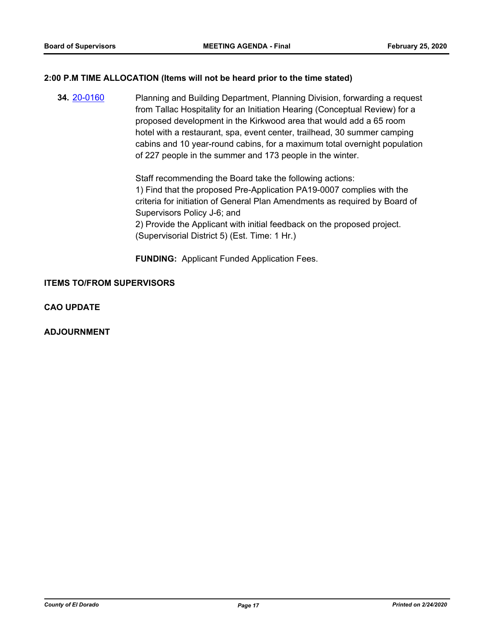#### **2:00 P.M TIME ALLOCATION (Items will not be heard prior to the time stated)**

**34.** [20-0160](http://eldorado.legistar.com/gateway.aspx?m=l&id=/matter.aspx?key=27365) Planning and Building Department, Planning Division, forwarding a request from Tallac Hospitality for an Initiation Hearing (Conceptual Review) for a proposed development in the Kirkwood area that would add a 65 room hotel with a restaurant, spa, event center, trailhead, 30 summer camping cabins and 10 year-round cabins, for a maximum total overnight population of 227 people in the summer and 173 people in the winter.

> Staff recommending the Board take the following actions: 1) Find that the proposed Pre-Application PA19-0007 complies with the criteria for initiation of General Plan Amendments as required by Board of Supervisors Policy J-6; and 2) Provide the Applicant with initial feedback on the proposed project. (Supervisorial District 5) (Est. Time: 1 Hr.)

**FUNDING:** Applicant Funded Application Fees.

### **ITEMS TO/FROM SUPERVISORS**

**CAO UPDATE**

**ADJOURNMENT**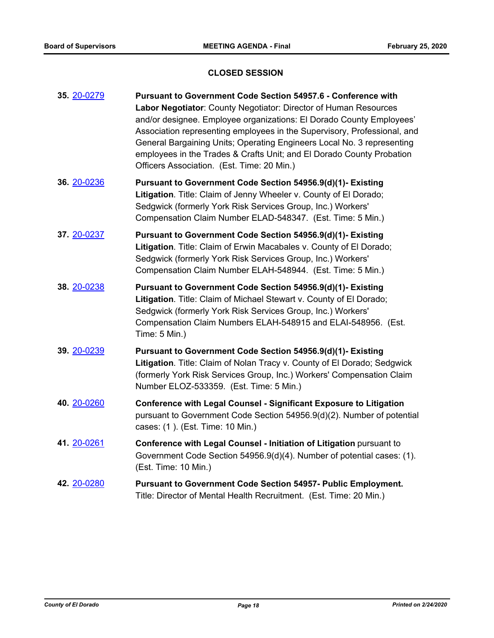# **CLOSED SESSION**

| 35. 20-0279 | Pursuant to Government Code Section 54957.6 - Conference with<br>Labor Negotiator: County Negotiator: Director of Human Resources<br>and/or designee. Employee organizations: El Dorado County Employees'<br>Association representing employees in the Supervisory, Professional, and<br>General Bargaining Units; Operating Engineers Local No. 3 representing<br>employees in the Trades & Crafts Unit; and El Dorado County Probation<br>Officers Association. (Est. Time: 20 Min.) |
|-------------|----------------------------------------------------------------------------------------------------------------------------------------------------------------------------------------------------------------------------------------------------------------------------------------------------------------------------------------------------------------------------------------------------------------------------------------------------------------------------------------|
| 36. 20-0236 | Pursuant to Government Code Section 54956.9(d)(1)- Existing<br>Litigation. Title: Claim of Jenny Wheeler v. County of El Dorado;<br>Sedgwick (formerly York Risk Services Group, Inc.) Workers'<br>Compensation Claim Number ELAD-548347. (Est. Time: 5 Min.)                                                                                                                                                                                                                          |
| 37. 20-0237 | Pursuant to Government Code Section 54956.9(d)(1)- Existing<br>Litigation. Title: Claim of Erwin Macabales v. County of El Dorado;<br>Sedgwick (formerly York Risk Services Group, Inc.) Workers'<br>Compensation Claim Number ELAH-548944. (Est. Time: 5 Min.)                                                                                                                                                                                                                        |
| 38. 20-0238 | Pursuant to Government Code Section 54956.9(d)(1)- Existing<br>Litigation. Title: Claim of Michael Stewart v. County of El Dorado;<br>Sedgwick (formerly York Risk Services Group, Inc.) Workers'<br>Compensation Claim Numbers ELAH-548915 and ELAI-548956. (Est.<br>Time: 5 Min.)                                                                                                                                                                                                    |
| 39. 20-0239 | Pursuant to Government Code Section 54956.9(d)(1)- Existing<br>Litigation. Title: Claim of Nolan Tracy v. County of El Dorado; Sedgwick<br>(formerly York Risk Services Group, Inc.) Workers' Compensation Claim<br>Number ELOZ-533359. (Est. Time: 5 Min.)                                                                                                                                                                                                                            |
| 40. 20-0260 | Conference with Legal Counsel - Significant Exposure to Litigation<br>pursuant to Government Code Section 54956.9(d)(2). Number of potential<br>cases: (1). (Est. Time: 10 Min.)                                                                                                                                                                                                                                                                                                       |
| 41. 20-0261 | Conference with Legal Counsel - Initiation of Litigation pursuant to<br>Government Code Section 54956.9(d)(4). Number of potential cases: (1).<br>(Est. Time: 10 Min.)                                                                                                                                                                                                                                                                                                                 |
| 42. 20-0280 | <b>Pursuant to Government Code Section 54957- Public Employment.</b><br>Title: Director of Mental Health Recruitment. (Est. Time: 20 Min.)                                                                                                                                                                                                                                                                                                                                             |